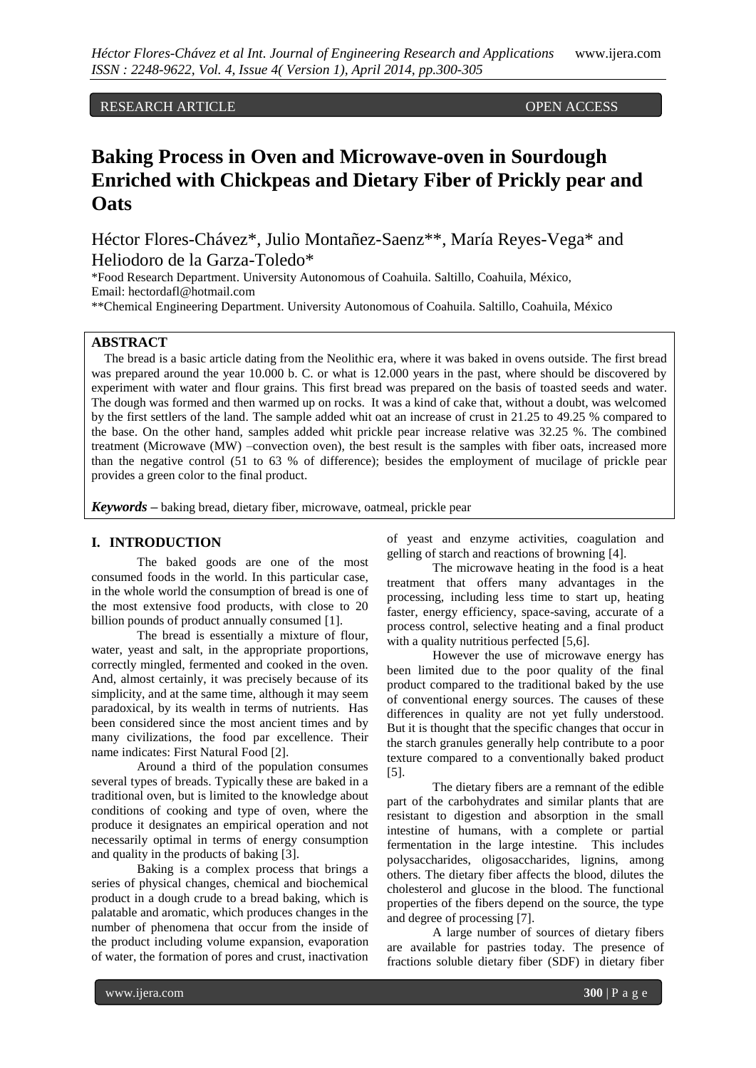RESEARCH ARTICLE **OPEN ACCESS** 

# **Baking Process in Oven and Microwave-oven in Sourdough Enriched with Chickpeas and Dietary Fiber of Prickly pear and Oats**

Héctor Flores-Chávez\*, Julio Montañez-Saenz\*\*, María Reyes-Vega\* and Heliodoro de la Garza-Toledo\*

\*Food Research Department. University Autonomous of Coahuila. Saltillo, Coahuila, México, Email: hectordafl@hotmail.com

\*\*Chemical Engineering Department. University Autonomous of Coahuila. Saltillo, Coahuila, México

# **ABSTRACT**

The bread is a basic article dating from the Neolithic era, where it was baked in ovens outside. The first bread was prepared around the year 10.000 b. C. or what is 12.000 years in the past, where should be discovered by experiment with water and flour grains. This first bread was prepared on the basis of toasted seeds and water. The dough was formed and then warmed up on rocks. It was a kind of cake that, without a doubt, was welcomed by the first settlers of the land. The sample added whit oat an increase of crust in 21.25 to 49.25 % compared to the base. On the other hand, samples added whit prickle pear increase relative was 32.25 %. The combined treatment (Microwave (MW) –convection oven), the best result is the samples with fiber oats, increased more than the negative control (51 to 63 % of difference); besides the employment of mucilage of prickle pear provides a green color to the final product.

*Keywords* **–** baking bread, dietary fiber, microwave, oatmeal, prickle pear

## **I. INTRODUCTION**

The baked goods are one of the most consumed foods in the world. In this particular case, in the whole world the consumption of bread is one of the most extensive food products, with close to 20 billion pounds of product annually consumed [1].

The bread is essentially a mixture of flour, water, yeast and salt, in the appropriate proportions, correctly mingled, fermented and cooked in the oven. And, almost certainly, it was precisely because of its simplicity, and at the same time, although it may seem paradoxical, by its wealth in terms of nutrients. Has been considered since the most ancient times and by many civilizations, the food par excellence. Their name indicates: First Natural Food [2].

Around a third of the population consumes several types of breads. Typically these are baked in a traditional oven, but is limited to the knowledge about conditions of cooking and type of oven, where the produce it designates an empirical operation and not necessarily optimal in terms of energy consumption and quality in the products of baking [3].

Baking is a complex process that brings a series of physical changes, chemical and biochemical product in a dough crude to a bread baking, which is palatable and aromatic, which produces changes in the number of phenomena that occur from the inside of the product including volume expansion, evaporation of water, the formation of pores and crust, inactivation

of yeast and enzyme activities, coagulation and gelling of starch and reactions of browning [4].

The microwave heating in the food is a heat treatment that offers many advantages in the processing, including less time to start up, heating faster, energy efficiency, space-saving, accurate of a process control, selective heating and a final product with a quality nutritious perfected [5,6].

However the use of microwave energy has been limited due to the poor quality of the final product compared to the traditional baked by the use of conventional energy sources. The causes of these differences in quality are not yet fully understood. But it is thought that the specific changes that occur in the starch granules generally help contribute to a poor texture compared to a conventionally baked product [5].

The dietary fibers are a remnant of the edible part of the carbohydrates and similar plants that are resistant to digestion and absorption in the small intestine of humans, with a complete or partial fermentation in the large intestine. This includes polysaccharides, oligosaccharides, lignins, among others. The dietary fiber affects the blood, dilutes the cholesterol and glucose in the blood. The functional properties of the fibers depend on the source, the type and degree of processing [7].

A large number of sources of dietary fibers are available for pastries today. The presence of fractions soluble dietary fiber (SDF) in dietary fiber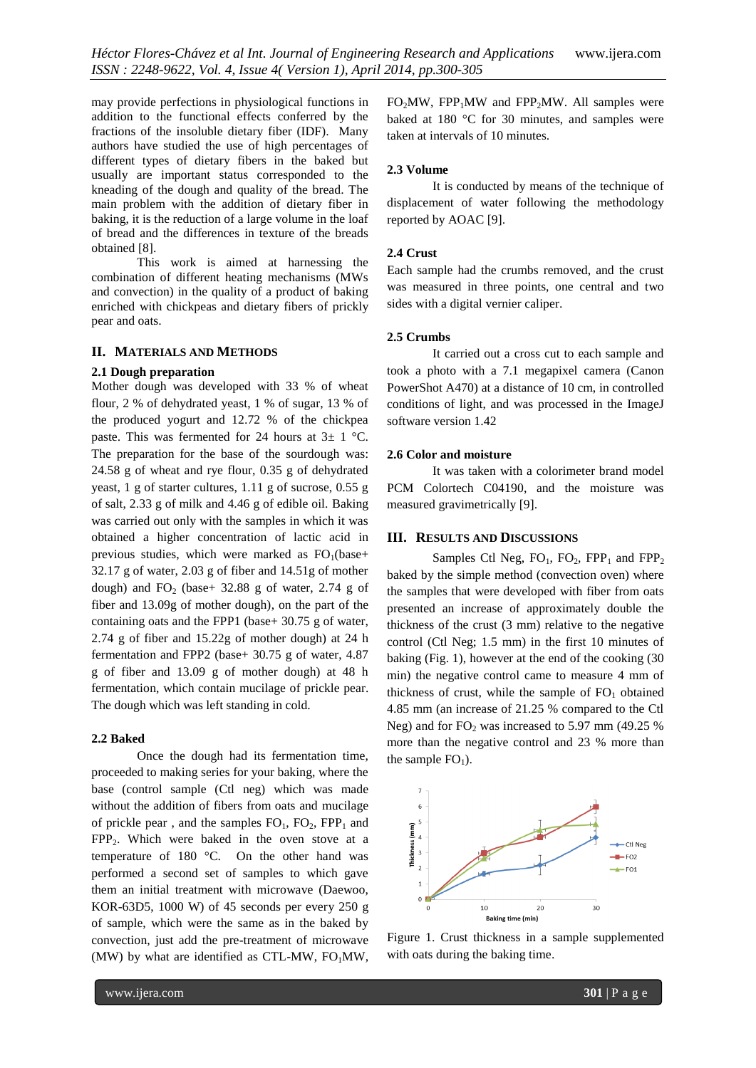may provide perfections in physiological functions in addition to the functional effects conferred by the fractions of the insoluble dietary fiber (IDF). Many authors have studied the use of high percentages of different types of dietary fibers in the baked but usually are important status corresponded to the kneading of the dough and quality of the bread. The main problem with the addition of dietary fiber in baking, it is the reduction of a large volume in the loaf of bread and the differences in texture of the breads obtained [8].

This work is aimed at harnessing the combination of different heating mechanisms (MWs and convection) in the quality of a product of baking enriched with chickpeas and dietary fibers of prickly pear and oats.

### **II. MATERIALS AND METHODS**

#### **2.1 Dough preparation**

Mother dough was developed with 33 % of wheat flour, 2 % of dehydrated yeast, 1 % of sugar, 13 % of the produced yogurt and 12.72 % of the chickpea paste. This was fermented for 24 hours at  $3\pm 1$  °C. The preparation for the base of the sourdough was: 24.58 g of wheat and rye flour, 0.35 g of dehydrated yeast, 1 g of starter cultures, 1.11 g of sucrose, 0.55 g of salt, 2.33 g of milk and 4.46 g of edible oil. Baking was carried out only with the samples in which it was obtained a higher concentration of lactic acid in previous studies, which were marked as  $FO<sub>1</sub>(base+$ 32.17 g of water, 2.03 g of fiber and 14.51g of mother dough) and  $FO_2$  (base+ 32.88 g of water, 2.74 g of fiber and 13.09g of mother dough), on the part of the containing oats and the FPP1 (base+ 30.75 g of water, 2.74 g of fiber and 15.22g of mother dough) at 24 h fermentation and FPP2 (base+ 30.75 g of water, 4.87 g of fiber and 13.09 g of mother dough) at 48 h fermentation, which contain mucilage of prickle pear. The dough which was left standing in cold.

#### **2.2 Baked**

Once the dough had its fermentation time, proceeded to making series for your baking, where the base (control sample (Ctl neg) which was made without the addition of fibers from oats and mucilage of prickle pear, and the samples  $FO_1$ ,  $FO_2$ ,  $FPP_1$  and FPP2. Which were baked in the oven stove at a temperature of 180 °C. On the other hand was performed a second set of samples to which gave them an initial treatment with microwave (Daewoo, KOR-63D5, 1000 W) of 45 seconds per every 250 g of sample, which were the same as in the baked by convection, just add the pre-treatment of microwave (MW) by what are identified as CTL-MW,  $FO<sub>1</sub>MW$ ,  $FO<sub>2</sub>MW$ ,  $FPP<sub>1</sub>MW$  and  $FPP<sub>2</sub>MW$ . All samples were baked at 180 °C for 30 minutes, and samples were taken at intervals of 10 minutes.

#### **2.3 Volume**

It is conducted by means of the technique of displacement of water following the methodology reported by AOAC [9].

#### **2.4 Crust**

Each sample had the crumbs removed, and the crust was measured in three points, one central and two sides with a digital vernier caliper.

#### **2.5 Crumbs**

It carried out a cross cut to each sample and took a photo with a 7.1 megapixel camera (Canon PowerShot A470) at a distance of 10 cm, in controlled conditions of light, and was processed in the ImageJ software version 1.42

#### **2.6 Color and moisture**

It was taken with a colorimeter brand model PCM Colortech C04190, and the moisture was measured gravimetrically [9].

## **III. RESULTS AND DISCUSSIONS**

Samples Ctl Neg,  $FO_1$ ,  $FO_2$ ,  $FPP_1$  and  $FPP_2$ baked by the simple method (convection oven) where the samples that were developed with fiber from oats presented an increase of approximately double the thickness of the crust (3 mm) relative to the negative control (Ctl Neg; 1.5 mm) in the first 10 minutes of baking (Fig. 1), however at the end of the cooking (30 min) the negative control came to measure 4 mm of thickness of crust, while the sample of  $FO<sub>1</sub>$  obtained 4.85 mm (an increase of 21.25 % compared to the Ctl Neg) and for  $FO<sub>2</sub>$  was increased to 5.97 mm (49.25 %) more than the negative control and 23 % more than the sample  $FO<sub>1</sub>$ ).



Figure 1. Crust thickness in a sample supplemented with oats during the baking time.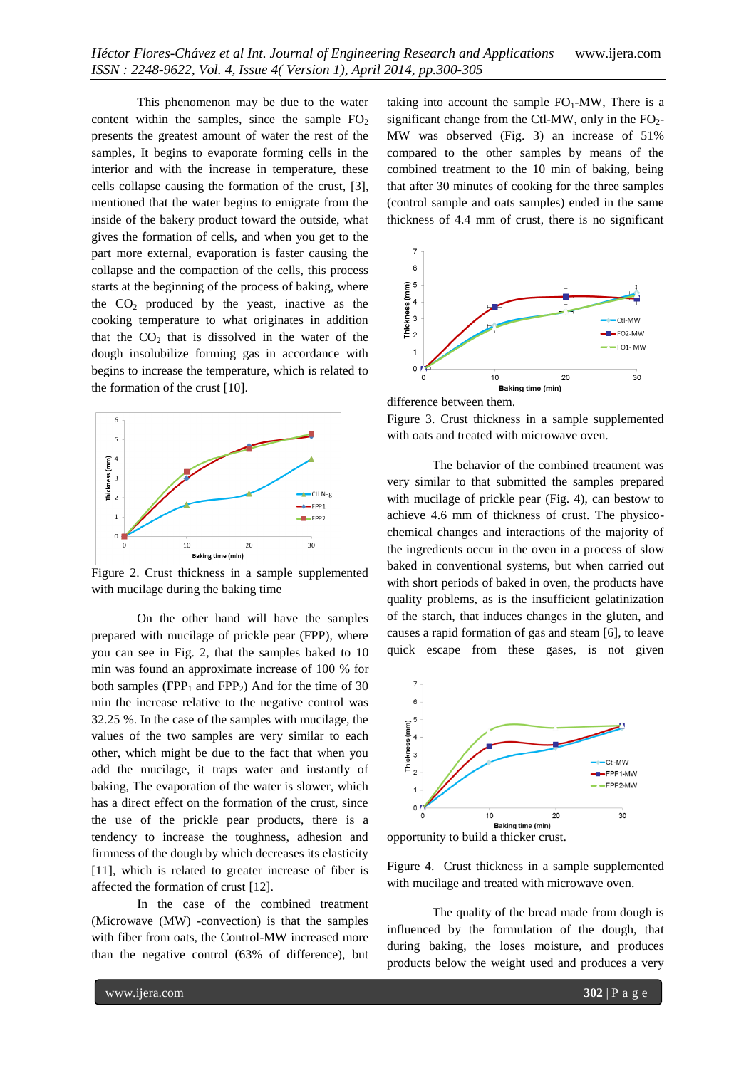This phenomenon may be due to the water content within the samples, since the sample  $FO<sub>2</sub>$ presents the greatest amount of water the rest of the samples, It begins to evaporate forming cells in the interior and with the increase in temperature, these cells collapse causing the formation of the crust, [3], mentioned that the water begins to emigrate from the inside of the bakery product toward the outside, what gives the formation of cells, and when you get to the part more external, evaporation is faster causing the collapse and the compaction of the cells, this process starts at the beginning of the process of baking, where the  $CO<sub>2</sub>$  produced by the yeast, inactive as the cooking temperature to what originates in addition that the  $CO<sub>2</sub>$  that is dissolved in the water of the dough insolubilize forming gas in accordance with begins to increase the temperature, which is related to the formation of the crust [10].



Figure 2. Crust thickness in a sample supplemented with mucilage during the baking time

On the other hand will have the samples prepared with mucilage of prickle pear (FPP), where you can see in Fig. 2, that the samples baked to 10 min was found an approximate increase of 100 % for both samples ( $FPP_1$  and  $FPP_2$ ) And for the time of 30 min the increase relative to the negative control was 32.25 %. In the case of the samples with mucilage, the values of the two samples are very similar to each other, which might be due to the fact that when you add the mucilage, it traps water and instantly of baking, The evaporation of the water is slower, which has a direct effect on the formation of the crust, since the use of the prickle pear products, there is a tendency to increase the toughness, adhesion and firmness of the dough by which decreases its elasticity [11], which is related to greater increase of fiber is affected the formation of crust [12].

In the case of the combined treatment (Microwave (MW) -convection) is that the samples with fiber from oats, the Control-MW increased more than the negative control (63% of difference), but

taking into account the sample  $FO_1$ -MW, There is a significant change from the Ctl-MW, only in the  $FO<sub>2</sub>$ -MW was observed (Fig. 3) an increase of 51% compared to the other samples by means of the combined treatment to the 10 min of baking, being that after 30 minutes of cooking for the three samples (control sample and oats samples) ended in the same thickness of 4.4 mm of crust, there is no significant





Figure 3. Crust thickness in a sample supplemented with oats and treated with microwave oven.

The behavior of the combined treatment was very similar to that submitted the samples prepared with mucilage of prickle pear (Fig. 4), can bestow to achieve 4.6 mm of thickness of crust. The physicochemical changes and interactions of the majority of the ingredients occur in the oven in a process of slow baked in conventional systems, but when carried out with short periods of baked in oven, the products have quality problems, as is the insufficient gelatinization of the starch, that induces changes in the gluten, and causes a rapid formation of gas and steam [6], to leave quick escape from these gases, is not given



opportunity to build a thicker crust.

Figure 4. Crust thickness in a sample supplemented with mucilage and treated with microwave oven.

The quality of the bread made from dough is influenced by the formulation of the dough, that during baking, the loses moisture, and produces products below the weight used and produces a very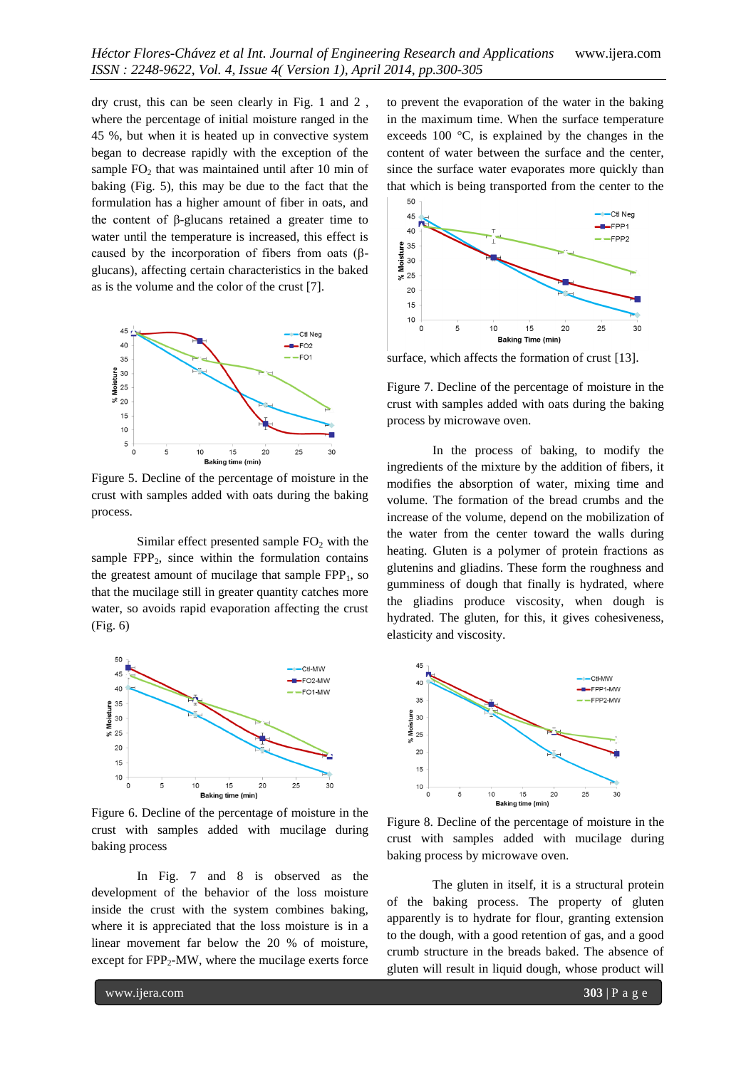dry crust, this can be seen clearly in Fig. 1 and 2 , where the percentage of initial moisture ranged in the 45 %, but when it is heated up in convective system began to decrease rapidly with the exception of the sample  $FO<sub>2</sub>$  that was maintained until after 10 min of baking (Fig. 5), this may be due to the fact that the formulation has a higher amount of fiber in oats, and the content of β-glucans retained a greater time to water until the temperature is increased, this effect is caused by the incorporation of fibers from oats (βglucans), affecting certain characteristics in the baked as is the volume and the color of the crust [7].



Figure 5. Decline of the percentage of moisture in the crust with samples added with oats during the baking process.

Similar effect presented sample  $FO<sub>2</sub>$  with the sample  $FPP_2$ , since within the formulation contains the greatest amount of mucilage that sample  $FPP<sub>1</sub>$ , so that the mucilage still in greater quantity catches more water, so avoids rapid evaporation affecting the crust (Fig. 6)



Figure 6. Decline of the percentage of moisture in the crust with samples added with mucilage during baking process

In Fig. 7 and 8 is observed as the development of the behavior of the loss moisture inside the crust with the system combines baking, where it is appreciated that the loss moisture is in a linear movement far below the 20 % of moisture, except for  $FPP_2-MW$ , where the mucilage exerts force

to prevent the evaporation of the water in the baking in the maximum time. When the surface temperature exceeds 100 °C, is explained by the changes in the content of water between the surface and the center, since the surface water evaporates more quickly than that which is being transported from the center to the



surface, which affects the formation of crust [13].

Figure 7. Decline of the percentage of moisture in the crust with samples added with oats during the baking process by microwave oven.

In the process of baking, to modify the ingredients of the mixture by the addition of fibers, it modifies the absorption of water, mixing time and volume. The formation of the bread crumbs and the increase of the volume, depend on the mobilization of the water from the center toward the walls during heating. Gluten is a polymer of protein fractions as glutenins and gliadins. These form the roughness and gumminess of dough that finally is hydrated, where the gliadins produce viscosity, when dough is hydrated. The gluten, for this, it gives cohesiveness, elasticity and viscosity.



Figure 8. Decline of the percentage of moisture in the crust with samples added with mucilage during baking process by microwave oven.

The gluten in itself, it is a structural protein of the baking process. The property of gluten apparently is to hydrate for flour, granting extension to the dough, with a good retention of gas, and a good crumb structure in the breads baked. The absence of gluten will result in liquid dough, whose product will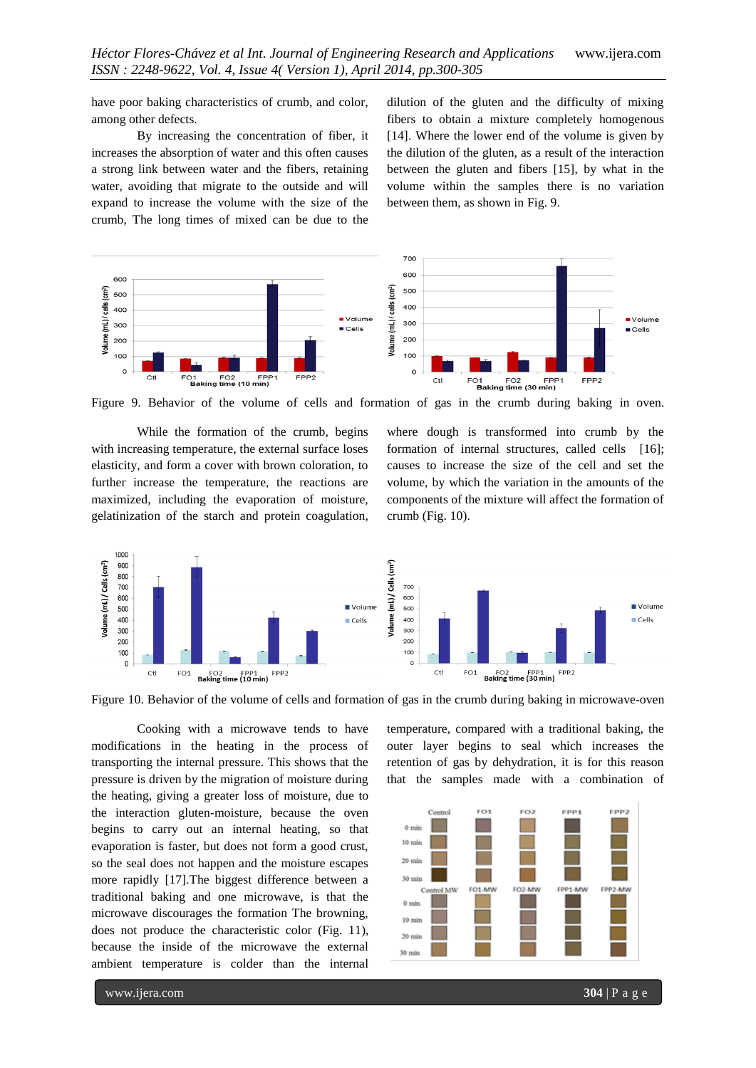have poor baking characteristics of crumb, and color, among other defects.

By increasing the concentration of fiber, it increases the absorption of water and this often causes a strong link between water and the fibers, retaining water, avoiding that migrate to the outside and will expand to increase the volume with the size of the crumb, The long times of mixed can be due to the dilution of the gluten and the difficulty of mixing fibers to obtain a mixture completely homogenous [14]. Where the lower end of the volume is given by the dilution of the gluten, as a result of the interaction between the gluten and fibers [15], by what in the volume within the samples there is no variation between them, as shown in Fig. 9.



Figure 9. Behavior of the volume of cells and formation of gas in the crumb during baking in oven.

While the formation of the crumb, begins with increasing temperature, the external surface loses elasticity, and form a cover with brown coloration, to further increase the temperature, the reactions are maximized, including the evaporation of moisture, gelatinization of the starch and protein coagulation, where dough is transformed into crumb by the formation of internal structures, called cells [16]; causes to increase the size of the cell and set the volume, by which the variation in the amounts of the components of the mixture will affect the formation of crumb (Fig. 10).



Figure 10. Behavior of the volume of cells and formation of gas in the crumb during baking in microwave-oven

Cooking with a microwave tends to have modifications in the heating in the process of transporting the internal pressure. This shows that the pressure is driven by the migration of moisture during the heating, giving a greater loss of moisture, due to the interaction gluten-moisture, because the oven begins to carry out an internal heating, so that evaporation is faster, but does not form a good crust, so the seal does not happen and the moisture escapes more rapidly [17].The biggest difference between a traditional baking and one microwave, is that the microwave discourages the formation The browning, does not produce the characteristic color (Fig. 11), because the inside of the microwave the external ambient temperature is colder than the internal

temperature, compared with a traditional baking, the outer layer begins to seal which increases the retention of gas by dehydration, it is for this reason that the samples made with a combination of